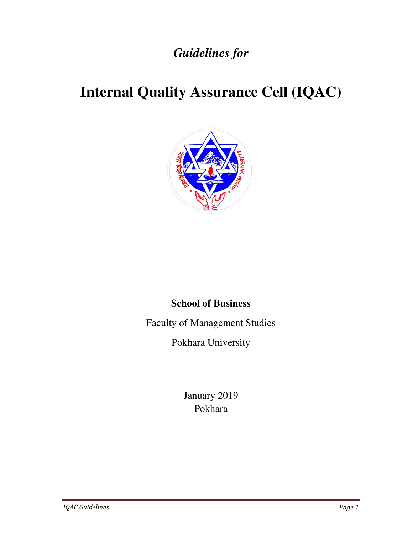# *Guidelines for*

# **Internal Quality Assurance Cell (IQAC)**



# **School of Business**

Faculty of Management Studies

Pokhara University

January 2019 Pokhara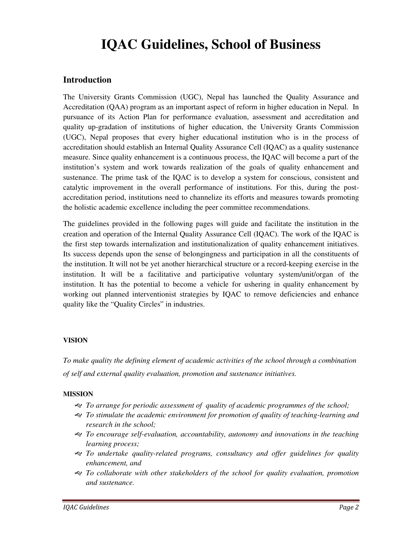# **IQAC Guidelines, School of Business**

#### **Introduction**

The University Grants Commission (UGC), Nepal has launched the Quality Assurance and Accreditation (QAA) program as an important aspect of reform in higher education in Nepal. In pursuance of its Action Plan for performance evaluation, assessment and accreditation and quality up-gradation of institutions of higher education, the University Grants Commission (UGC), Nepal proposes that every higher educational institution who is in the process of accreditation should establish an Internal Quality Assurance Cell (IQAC) as a quality sustenance measure. Since quality enhancement is a continuous process, the IQAC will become a part of the institution's system and work towards realization of the goals of quality enhancement and sustenance. The prime task of the IQAC is to develop a system for conscious, consistent and catalytic improvement in the overall performance of institutions. For this, during the postaccreditation period, institutions need to channelize its efforts and measures towards promoting the holistic academic excellence including the peer committee recommendations.

The guidelines provided in the following pages will guide and facilitate the institution in the creation and operation of the Internal Quality Assurance Cell (IQAC). The work of the IQAC is the first step towards internalization and institutionalization of quality enhancement initiatives. Its success depends upon the sense of belongingness and participation in all the constituents of the institution. It will not be yet another hierarchical structure or a record-keeping exercise in the institution. It will be a facilitative and participative voluntary system/unit/organ of the institution. It has the potential to become a vehicle for ushering in quality enhancement by working out planned interventionist strategies by IQAC to remove deficiencies and enhance quality like the "Quality Circles" in industries.

#### **VISION**

*To make quality the defining element of academic activities of the school through a combination of self and external quality evaluation, promotion and sustenance initiatives.* 

#### **MISSION**

- *To arrange for periodic assessment of quality of academic programmes of the school;*
- *To stimulate the academic environment for promotion of quality of teaching-learning and research in the school;*
- *To encourage self-evaluation, accountability, autonomy and innovations in the teaching learning process;*
- *To undertake quality-related programs, consultancy and offer guidelines for quality enhancement, and*
- *To collaborate with other stakeholders of the school for quality evaluation, promotion and sustenance.*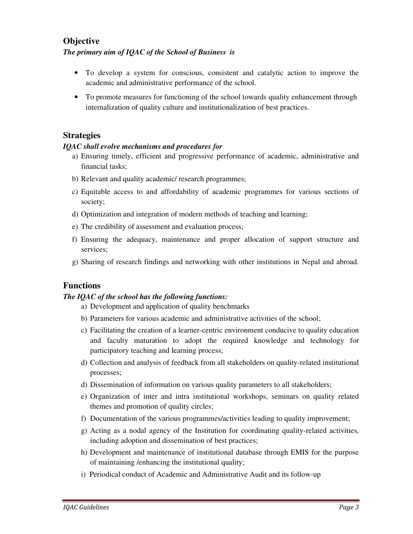## **Objective**

#### *The primary aim of IQAC of the School of Business is*

- To develop a system for conscious, consistent and catalytic action to improve the academic and administrative performance of the school.
- To promote measures for functioning of the school towards quality enhancement through internalization of quality culture and institutionalization of best practices.

#### **Strategies**

#### *IQAC shall evolve mechanisms and procedures for*

- a) Ensuring timely, efficient and progressive performance of academic, administrative and financial tasks;
- b) Relevant and quality academic/ research programmes;
- c) Equitable access to and affordability of academic programmes for various sections of society;
- d) Optimization and integration of modern methods of teaching and learning;
- e) The credibility of assessment and evaluation process;
- f) Ensuring the adequacy, maintenance and proper allocation of support structure and services;
- g) Sharing of research findings and networking with other institutions in Nepal and abroad.

### **Functions**

#### *The IQAC of the school has the following functions:*

- a) Development and application of quality benchmarks
- b) Parameters for various academic and administrative activities of the school;
- c) Facilitating the creation of a learner-centric environment conducive to quality education and faculty maturation to adopt the required knowledge and technology for participatory teaching and learning process;
- d) Collection and analysis of feedback from all stakeholders on quality-related institutional processes;
- d) Dissemination of information on various quality parameters to all stakeholders;
- e) Organization of inter and intra institutional workshops, seminars on quality related themes and promotion of quality circles;
- f) Documentation of the various programmes/activities leading to quality improvement;
- g) Acting as a nodal agency of the Institution for coordinating quality-related activities, including adoption and dissemination of best practices;
- h) Development and maintenance of institutional database through EMIS for the purpose of maintaining /enhancing the institutional quality;
- i) Periodical conduct of Academic and Administrative Audit and its follow-up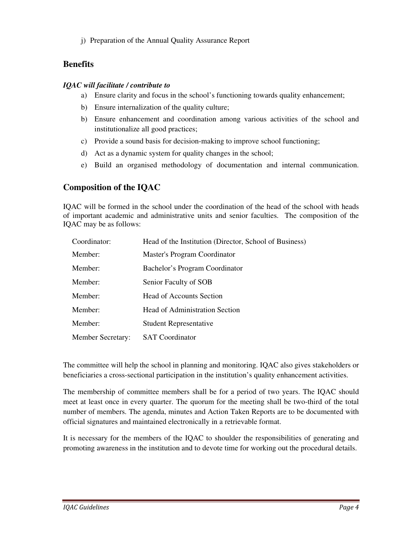j) Preparation of the Annual Quality Assurance Report

## **Benefits**

#### *IQAC will facilitate / contribute to*

- a) Ensure clarity and focus in the school's functioning towards quality enhancement;
- b) Ensure internalization of the quality culture;
- b) Ensure enhancement and coordination among various activities of the school and institutionalize all good practices;
- c) Provide a sound basis for decision-making to improve school functioning;
- d) Act as a dynamic system for quality changes in the school;
- e) Build an organised methodology of documentation and internal communication.

# **Composition of the IQAC**

IQAC will be formed in the school under the coordination of the head of the school with heads of important academic and administrative units and senior faculties. The composition of the IQAC may be as follows:

| Coordinator:             | Head of the Institution (Director, School of Business) |
|--------------------------|--------------------------------------------------------|
| Member:                  | Master's Program Coordinator                           |
| Member:                  | Bachelor's Program Coordinator                         |
| Member:                  | Senior Faculty of SOB                                  |
| Member:                  | Head of Accounts Section                               |
| Member:                  | <b>Head of Administration Section</b>                  |
| Member:                  | <b>Student Representative</b>                          |
| <b>Member Secretary:</b> | <b>SAT</b> Coordinator                                 |

The committee will help the school in planning and monitoring. IQAC also gives stakeholders or beneficiaries a cross-sectional participation in the institution's quality enhancement activities.

The membership of committee members shall be for a period of two years. The IQAC should meet at least once in every quarter. The quorum for the meeting shall be two-third of the total number of members. The agenda, minutes and Action Taken Reports are to be documented with official signatures and maintained electronically in a retrievable format.

It is necessary for the members of the IQAC to shoulder the responsibilities of generating and promoting awareness in the institution and to devote time for working out the procedural details.